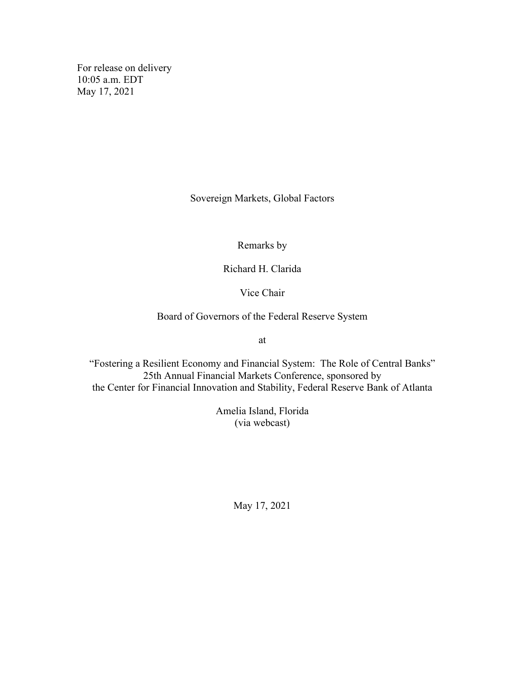For release on delivery 10:05 a.m. EDT May 17, 2021

Sovereign Markets, Global Factors

Remarks by

Richard H. Clarida

Vice Chair

Board of Governors of the Federal Reserve System

at

"Fostering a Resilient Economy and Financial System: The Role of Central Banks" 25th Annual Financial Markets Conference, sponsored by the Center for Financial Innovation and Stability, Federal Reserve Bank of Atlanta

> Amelia Island, Florida (via webcast)

> > May 17, 2021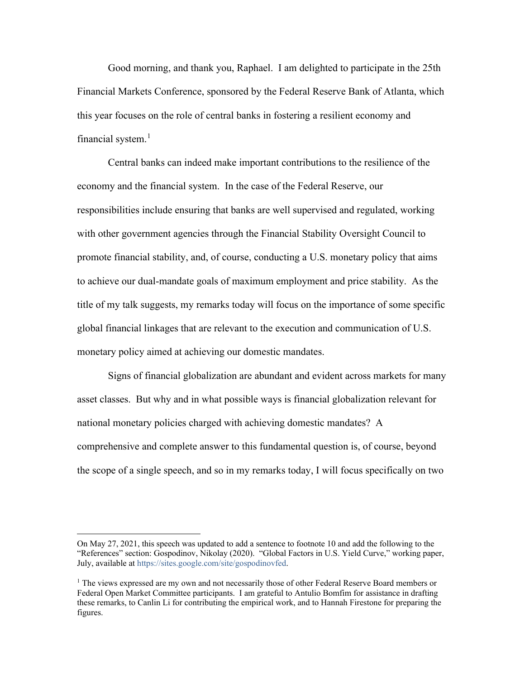Good morning, and thank you, Raphael. I am delighted to participate in the 25th Financial Markets Conference, sponsored by the Federal Reserve Bank of Atlanta, which this year focuses on the role of central banks in fostering a resilient economy and financial system.<sup>[1](#page-1-0)</sup>

Central banks can indeed make important contributions to the resilience of the economy and the financial system. In the case of the Federal Reserve, our responsibilities include ensuring that banks are well supervised and regulated, working with other government agencies through the Financial Stability Oversight Council to promote financial stability, and, of course, conducting a U.S. monetary policy that aims to achieve our dual-mandate goals of maximum employment and price stability. As the title of my talk suggests, my remarks today will focus on the importance of some specific global financial linkages that are relevant to the execution and communication of U.S. monetary policy aimed at achieving our domestic mandates.

Signs of financial globalization are abundant and evident across markets for many asset classes. But why and in what possible ways is financial globalization relevant for national monetary policies charged with achieving domestic mandates? A comprehensive and complete answer to this fundamental question is, of course, beyond the scope of a single speech, and so in my remarks today, I will focus specifically on two

<span id="page-1-0"></span>On May 27, 2021, this speech was updated to add a sentence to footnote 10 and add the following to the "References" section: Gospodinov, Nikolay (2020). "Global Factors in U.S. Yield Curve," working paper, July, available at [https://sites.google.com/site/gospodinovfed.](https://sites.google.com/site/gospodinovfed)

<sup>&</sup>lt;sup>1</sup> The views expressed are my own and not necessarily those of other Federal Reserve Board members or Federal Open Market Committee participants. I am grateful to Antulio Bomfim for assistance in drafting these remarks, to Canlin Li for contributing the empirical work, and to Hannah Firestone for preparing the figures.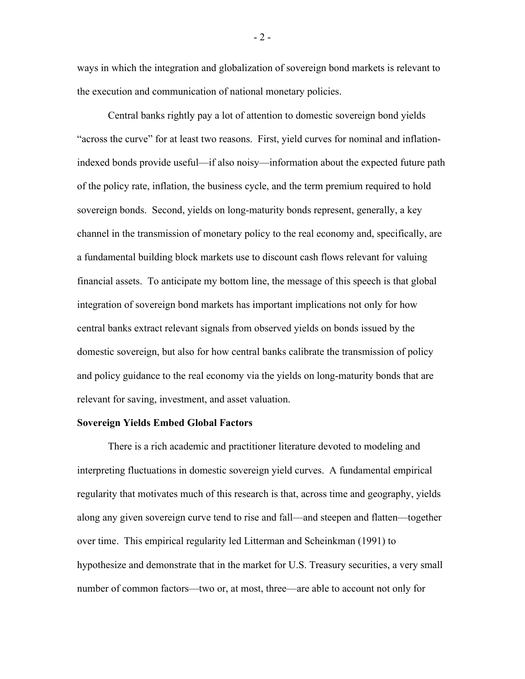ways in which the integration and globalization of sovereign bond markets is relevant to the execution and communication of national monetary policies.

Central banks rightly pay a lot of attention to domestic sovereign bond yields "across the curve" for at least two reasons. First, yield curves for nominal and inflationindexed bonds provide useful—if also noisy—information about the expected future path of the policy rate, inflation, the business cycle, and the term premium required to hold sovereign bonds. Second, yields on long-maturity bonds represent, generally, a key channel in the transmission of monetary policy to the real economy and, specifically, are a fundamental building block markets use to discount cash flows relevant for valuing financial assets. To anticipate my bottom line, the message of this speech is that global integration of sovereign bond markets has important implications not only for how central banks extract relevant signals from observed yields on bonds issued by the domestic sovereign, but also for how central banks calibrate the transmission of policy and policy guidance to the real economy via the yields on long-maturity bonds that are relevant for saving, investment, and asset valuation.

## **Sovereign Yields Embed Global Factors**

There is a rich academic and practitioner literature devoted to modeling and interpreting fluctuations in domestic sovereign yield curves. A fundamental empirical regularity that motivates much of this research is that, across time and geography, yields along any given sovereign curve tend to rise and fall—and steepen and flatten—together over time. This empirical regularity led Litterman and Scheinkman (1991) to hypothesize and demonstrate that in the market for U.S. Treasury securities, a very small number of common factors—two or, at most, three—are able to account not only for

- 2 -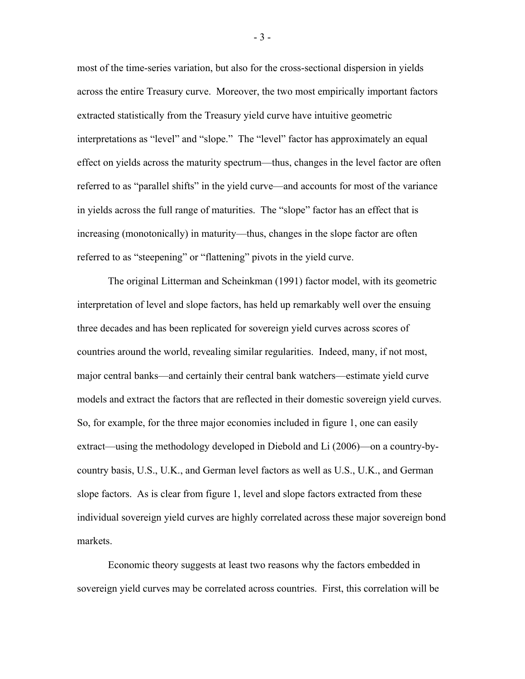most of the time-series variation, but also for the cross-sectional dispersion in yields across the entire Treasury curve. Moreover, the two most empirically important factors extracted statistically from the Treasury yield curve have intuitive geometric interpretations as "level" and "slope." The "level" factor has approximately an equal effect on yields across the maturity spectrum—thus, changes in the level factor are often referred to as "parallel shifts" in the yield curve—and accounts for most of the variance in yields across the full range of maturities. The "slope" factor has an effect that is increasing (monotonically) in maturity—thus, changes in the slope factor are often referred to as "steepening" or "flattening" pivots in the yield curve.

The original Litterman and Scheinkman (1991) factor model, with its geometric interpretation of level and slope factors, has held up remarkably well over the ensuing three decades and has been replicated for sovereign yield curves across scores of countries around the world, revealing similar regularities. Indeed, many, if not most, major central banks—and certainly their central bank watchers—estimate yield curve models and extract the factors that are reflected in their domestic sovereign yield curves. So, for example, for the three major economies included in figure 1, one can easily extract—using the methodology developed in Diebold and Li (2006)—on a country-bycountry basis, U.S., U.K., and German level factors as well as U.S., U.K., and German slope factors. As is clear from figure 1, level and slope factors extracted from these individual sovereign yield curves are highly correlated across these major sovereign bond markets.

Economic theory suggests at least two reasons why the factors embedded in sovereign yield curves may be correlated across countries. First, this correlation will be

- 3 -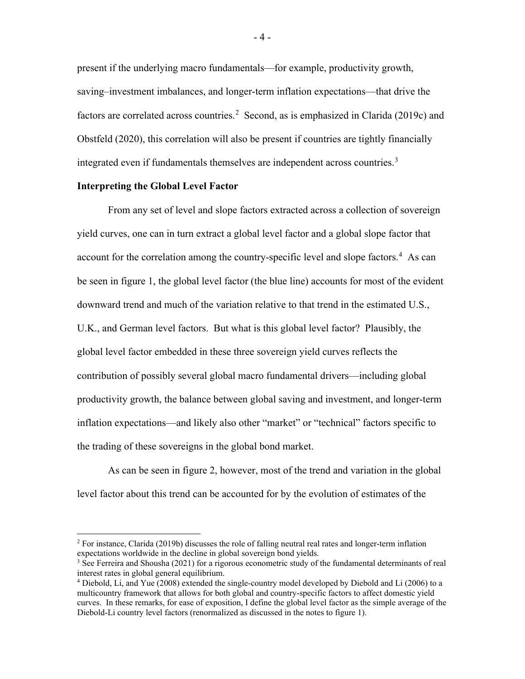present if the underlying macro fundamentals—for example, productivity growth, saving–investment imbalances, and longer-term inflation expectations—that drive the factors are correlated across countries.<sup>[2](#page-4-0)</sup> Second, as is emphasized in Clarida (2019c) and Obstfeld (2020), this correlation will also be present if countries are tightly financially integrated even if fundamentals themselves are independent across countries.<sup>[3](#page-4-1)</sup>

# **Interpreting the Global Level Factor**

From any set of level and slope factors extracted across a collection of sovereign yield curves, one can in turn extract a global level factor and a global slope factor that account for the correlation among the country-specific level and slope factors.<sup>[4](#page-4-2)</sup> As can be seen in figure 1, the global level factor (the blue line) accounts for most of the evident downward trend and much of the variation relative to that trend in the estimated U.S., U.K., and German level factors. But what is this global level factor? Plausibly, the global level factor embedded in these three sovereign yield curves reflects the contribution of possibly several global macro fundamental drivers—including global productivity growth, the balance between global saving and investment, and longer-term inflation expectations—and likely also other "market" or "technical" factors specific to the trading of these sovereigns in the global bond market.

As can be seen in figure 2, however, most of the trend and variation in the global level factor about this trend can be accounted for by the evolution of estimates of the

<span id="page-4-0"></span> $2$  For instance, Clarida (2019b) discusses the role of falling neutral real rates and longer-term inflation expectations worldwide in the decline in global sovereign bond yields.

<span id="page-4-1"></span> $3$  See Ferreira and Shousha (2021) for a rigorous econometric study of the fundamental determinants of real interest rates in global general equilibrium.

<span id="page-4-2"></span><sup>4</sup> Diebold, Li, and Yue (2008) extended the single-country model developed by Diebold and Li (2006) to a multicountry framework that allows for both global and country-specific factors to affect domestic yield curves. In these remarks, for ease of exposition, I define the global level factor as the simple average of the Diebold-Li country level factors (renormalized as discussed in the notes to figure 1).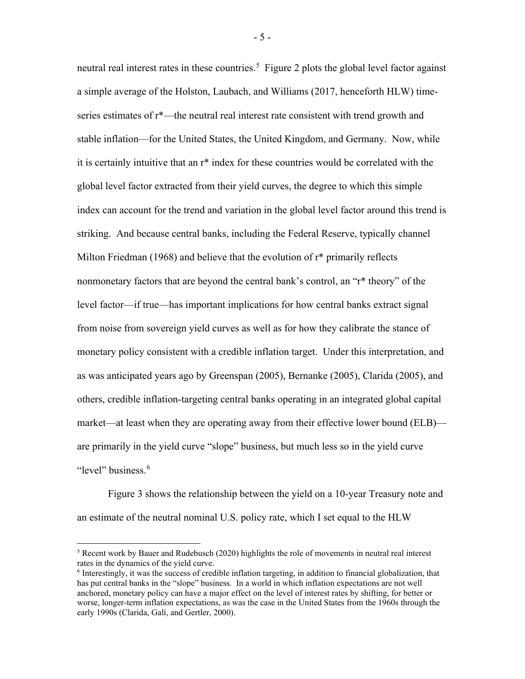neutral real interest rates in these countries.<sup>[5](#page-5-0)</sup> Figure 2 plots the global level factor against a simple average of the Holston, Laubach, and Williams (2017, henceforth HLW) timeseries estimates of r\*—the neutral real interest rate consistent with trend growth and stable inflation—for the United States, the United Kingdom, and Germany. Now, while it is certainly intuitive that an r\* index for these countries would be correlated with the global level factor extracted from their yield curves, the degree to which this simple index can account for the trend and variation in the global level factor around this trend is striking. And because central banks, including the Federal Reserve, typically channel Milton Friedman (1968) and believe that the evolution of r\* primarily reflects nonmonetary factors that are beyond the central bank's control, an "r\* theory" of the level factor—if true—has important implications for how central banks extract signal from noise from sovereign yield curves as well as for how they calibrate the stance of monetary policy consistent with a credible inflation target. Under this interpretation, and as was anticipated years ago by Greenspan (2005), Bernanke (2005), Clarida (2005), and others, credible inflation-targeting central banks operating in an integrated global capital market—at least when they are operating away from their effective lower bound (ELB) are primarily in the yield curve "slope" business, but much less so in the yield curve "level" business.<sup>[6](#page-5-1)</sup>

Figure 3 shows the relationship between the yield on a 10-year Treasury note and an estimate of the neutral nominal U.S. policy rate, which I set equal to the HLW

- 5 -

<span id="page-5-0"></span> $5$  Recent work by Bauer and Rudebusch (2020) highlights the role of movements in neutral real interest rates in the dynamics of the yield curve.

<span id="page-5-1"></span><sup>6</sup> Interestingly, it was the success of credible inflation targeting, in addition to financial globalization, that has put central banks in the "slope" business. In a world in which inflation expectations are not well anchored, monetary policy can have a major effect on the level of interest rates by shifting, for better or worse, longer-term inflation expectations, as was the case in the United States from the 1960s through the early 1990s (Clarida, Galí, and Gertler, 2000).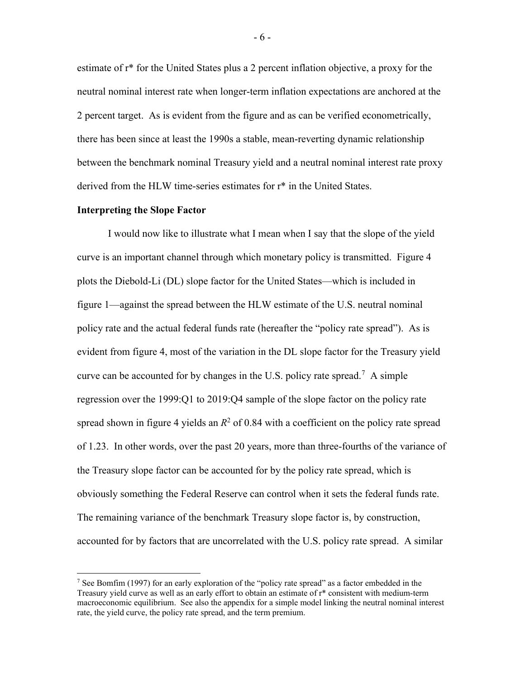estimate of r\* for the United States plus a 2 percent inflation objective, a proxy for the neutral nominal interest rate when longer-term inflation expectations are anchored at the 2 percent target. As is evident from the figure and as can be verified econometrically, there has been since at least the 1990s a stable, mean-reverting dynamic relationship between the benchmark nominal Treasury yield and a neutral nominal interest rate proxy derived from the HLW time-series estimates for r\* in the United States.

## **Interpreting the Slope Factor**

I would now like to illustrate what I mean when I say that the slope of the yield curve is an important channel through which monetary policy is transmitted. Figure 4 plots the Diebold-Li (DL) slope factor for the United States—which is included in figure 1—against the spread between the HLW estimate of the U.S. neutral nominal policy rate and the actual federal funds rate (hereafter the "policy rate spread"). As is evident from figure 4, most of the variation in the DL slope factor for the Treasury yield curve can be accounted for by changes in the U.S. policy rate spread.<sup>[7](#page-6-0)</sup> A simple regression over the 1999:Q1 to 2019:Q4 sample of the slope factor on the policy rate spread shown in figure 4 yields an  $R^2$  of 0.84 with a coefficient on the policy rate spread of 1.23. In other words, over the past 20 years, more than three-fourths of the variance of the Treasury slope factor can be accounted for by the policy rate spread, which is obviously something the Federal Reserve can control when it sets the federal funds rate. The remaining variance of the benchmark Treasury slope factor is, by construction, accounted for by factors that are uncorrelated with the U.S. policy rate spread. A similar

<span id="page-6-0"></span><sup>7</sup> See Bomfim (1997) for an early exploration of the "policy rate spread" as a factor embedded in the Treasury yield curve as well as an early effort to obtain an estimate of r\* consistent with medium-term macroeconomic equilibrium. See also the appendix for a simple model linking the neutral nominal interest rate, the yield curve, the policy rate spread, and the term premium.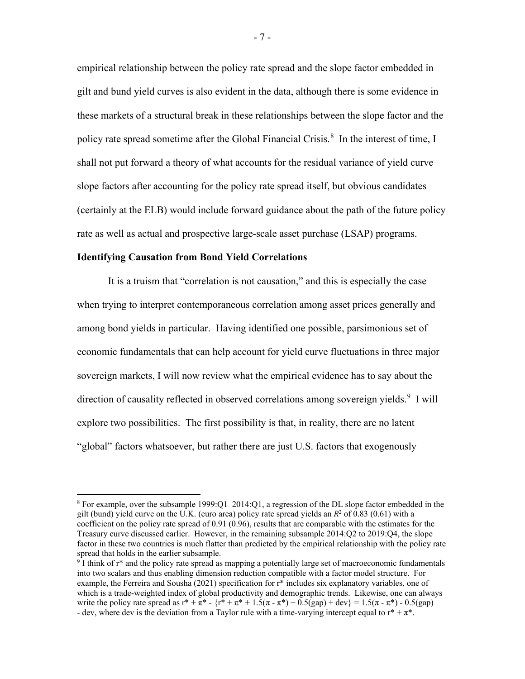empirical relationship between the policy rate spread and the slope factor embedded in gilt and bund yield curves is also evident in the data, although there is some evidence in these markets of a structural break in these relationships between the slope factor and the policy rate spread sometime after the Global Financial Crisis.<sup>[8](#page-7-0)</sup> In the interest of time, I shall not put forward a theory of what accounts for the residual variance of yield curve slope factors after accounting for the policy rate spread itself, but obvious candidates (certainly at the ELB) would include forward guidance about the path of the future policy rate as well as actual and prospective large-scale asset purchase (LSAP) programs.

#### **Identifying Causation from Bond Yield Correlations**

It is a truism that "correlation is not causation," and this is especially the case when trying to interpret contemporaneous correlation among asset prices generally and among bond yields in particular. Having identified one possible, parsimonious set of economic fundamentals that can help account for yield curve fluctuations in three major sovereign markets, I will now review what the empirical evidence has to say about the direction of causality reflected in observed correlations among sovereign yields.<sup>[9](#page-7-1)</sup> I will explore two possibilities. The first possibility is that, in reality, there are no latent "global" factors whatsoever, but rather there are just U.S. factors that exogenously

<span id="page-7-0"></span> $8$  For example, over the subsample 1999:Q1–2014:Q1, a regression of the DL slope factor embedded in the gilt (bund) yield curve on the U.K. (euro area) policy rate spread yields an  $R^2$  of 0.83 (0.61) with a coefficient on the policy rate spread of 0.91 (0.96), results that are comparable with the estimates for the Treasury curve discussed earlier. However, in the remaining subsample 2014:Q2 to 2019:Q4, the slope factor in these two countries is much flatter than predicted by the empirical relationship with the policy rate spread that holds in the earlier subsample.

<span id="page-7-1"></span> $9$  I think of r<sup>\*</sup> and the policy rate spread as mapping a potentially large set of macroeconomic fundamentals into two scalars and thus enabling dimension reduction compatible with a factor model structure. For example, the Ferreira and Sousha (2021) specification for r\* includes six explanatory variables, one of which is a trade-weighted index of global productivity and demographic trends. Likewise, one can always write the policy rate spread as  $r^* + \pi^* - \{r^* + \pi^* + 1.5(\pi - \pi^*) + 0.5(\text{gap}) + \text{dev}\} = 1.5(\pi - \pi^*) - 0.5(\text{gap})$ - dev, where dev is the deviation from a Taylor rule with a time-varying intercept equal to  $r^* + \pi^*$ .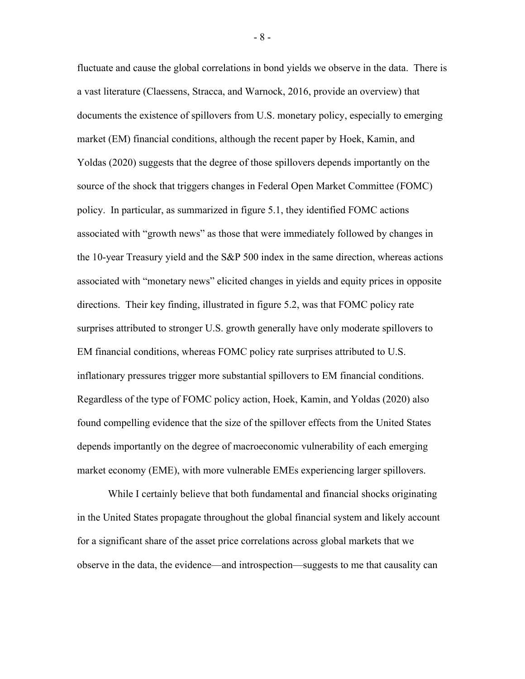fluctuate and cause the global correlations in bond yields we observe in the data. There is a vast literature (Claessens, Stracca, and Warnock, 2016, provide an overview) that documents the existence of spillovers from U.S. monetary policy, especially to emerging market (EM) financial conditions, although the recent paper by Hoek, Kamin, and Yoldas (2020) suggests that the degree of those spillovers depends importantly on the source of the shock that triggers changes in Federal Open Market Committee (FOMC) policy. In particular, as summarized in figure 5.1, they identified FOMC actions associated with "growth news" as those that were immediately followed by changes in the 10-year Treasury yield and the S&P 500 index in the same direction, whereas actions associated with "monetary news" elicited changes in yields and equity prices in opposite directions. Their key finding, illustrated in figure 5.2, was that FOMC policy rate surprises attributed to stronger U.S. growth generally have only moderate spillovers to EM financial conditions, whereas FOMC policy rate surprises attributed to U.S. inflationary pressures trigger more substantial spillovers to EM financial conditions. Regardless of the type of FOMC policy action, Hoek, Kamin, and Yoldas (2020) also found compelling evidence that the size of the spillover effects from the United States depends importantly on the degree of macroeconomic vulnerability of each emerging market economy (EME), with more vulnerable EMEs experiencing larger spillovers.

While I certainly believe that both fundamental and financial shocks originating in the United States propagate throughout the global financial system and likely account for a significant share of the asset price correlations across global markets that we observe in the data, the evidence—and introspection—suggests to me that causality can

- 8 -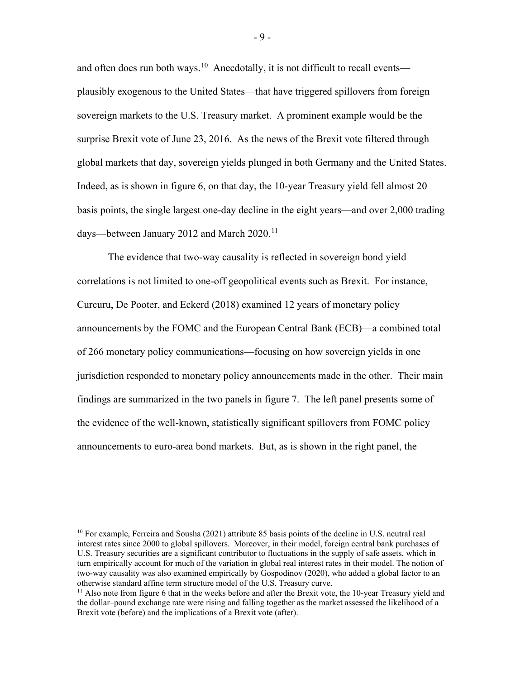and often does run both ways.<sup>10</sup> Anecdotally, it is not difficult to recall events plausibly exogenous to the United States—that have triggered spillovers from foreign sovereign markets to the U.S. Treasury market. A prominent example would be the surprise Brexit vote of June 23, 2016. As the news of the Brexit vote filtered through global markets that day, sovereign yields plunged in both Germany and the United States. Indeed, as is shown in figure 6, on that day, the 10-year Treasury yield fell almost 20 basis points, the single largest one-day decline in the eight years—and over 2,000 trading days—between January 2012 and March  $2020$ .<sup>[11](#page-9-1)</sup>

The evidence that two-way causality is reflected in sovereign bond yield correlations is not limited to one-off geopolitical events such as Brexit. For instance, Curcuru, De Pooter, and Eckerd (2018) examined 12 years of monetary policy announcements by the FOMC and the European Central Bank (ECB)—a combined total of 266 monetary policy communications—focusing on how sovereign yields in one jurisdiction responded to monetary policy announcements made in the other. Their main findings are summarized in the two panels in figure 7. The left panel presents some of the evidence of the well-known, statistically significant spillovers from FOMC policy announcements to euro-area bond markets. But, as is shown in the right panel, the

<span id="page-9-0"></span><sup>&</sup>lt;sup>10</sup> For example, Ferreira and Sousha (2021) attribute 85 basis points of the decline in U.S. neutral real interest rates since 2000 to global spillovers. Moreover, in their model, foreign central bank purchases of U.S. Treasury securities are a significant contributor to fluctuations in the supply of safe assets, which in turn empirically account for much of the variation in global real interest rates in their model. The notion of two-way causality was also examined empirically by Gospodinov (2020), who added a global factor to an otherwise standard affine term structure model of the U.S. Treasury curve.

<span id="page-9-1"></span><sup>&</sup>lt;sup>11</sup> Also note from figure 6 that in the weeks before and after the Brexit vote, the 10-year Treasury yield and the dollar–pound exchange rate were rising and falling together as the market assessed the likelihood of a Brexit vote (before) and the implications of a Brexit vote (after).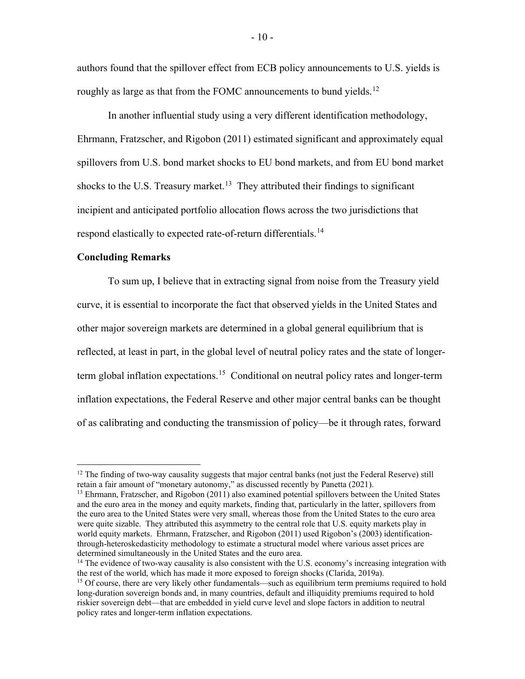authors found that the spillover effect from ECB policy announcements to U.S. yields is roughly as large as that from the FOMC announcements to bund yields.<sup>[12](#page-10-0)</sup>

In another influential study using a very different identification methodology, Ehrmann, Fratzscher, and Rigobon (2011) estimated significant and approximately equal spillovers from U.S. bond market shocks to EU bond markets, and from EU bond market shocks to the U.S. Treasury market.<sup>13</sup> They attributed their findings to significant incipient and anticipated portfolio allocation flows across the two jurisdictions that respond elastically to expected rate-of-return differentials.<sup>[14](#page-10-2)</sup>

# **Concluding Remarks**

To sum up, I believe that in extracting signal from noise from the Treasury yield curve, it is essential to incorporate the fact that observed yields in the United States and other major sovereign markets are determined in a global general equilibrium that is reflected, at least in part, in the global level of neutral policy rates and the state of longer-term global inflation expectations.<sup>[15](#page-10-3)</sup> Conditional on neutral policy rates and longer-term inflation expectations, the Federal Reserve and other major central banks can be thought of as calibrating and conducting the transmission of policy—be it through rates, forward

<span id="page-10-0"></span> $12$  The finding of two-way causality suggests that major central banks (not just the Federal Reserve) still retain a fair amount of "monetary autonomy," as discussed recently by Panetta (2021).

<span id="page-10-1"></span><sup>&</sup>lt;sup>13</sup> Ehrmann, Fratzscher, and Rigobon (2011) also examined potential spillovers between the United States and the euro area in the money and equity markets, finding that, particularly in the latter, spillovers from the euro area to the United States were very small, whereas those from the United States to the euro area were quite sizable. They attributed this asymmetry to the central role that U.S. equity markets play in world equity markets. Ehrmann, Fratzscher, and Rigobon (2011) used Rigobon's (2003) identificationthrough-heteroskedasticity methodology to estimate a structural model where various asset prices are determined simultaneously in the United States and the euro area.<br><sup>14</sup> The evidence of two-way causality is also consistent with the U.S. economy's increasing integration with

<span id="page-10-2"></span>the rest of the world, which has made it more exposed to foreign shocks (Clarida, 2019a).

<span id="page-10-3"></span><sup>&</sup>lt;sup>15</sup> Of course, there are very likely other fundamentals—such as equilibrium term premiums required to hold long-duration sovereign bonds and, in many countries, default and illiquidity premiums required to hold riskier sovereign debt—that are embedded in yield curve level and slope factors in addition to neutral policy rates and longer-term inflation expectations.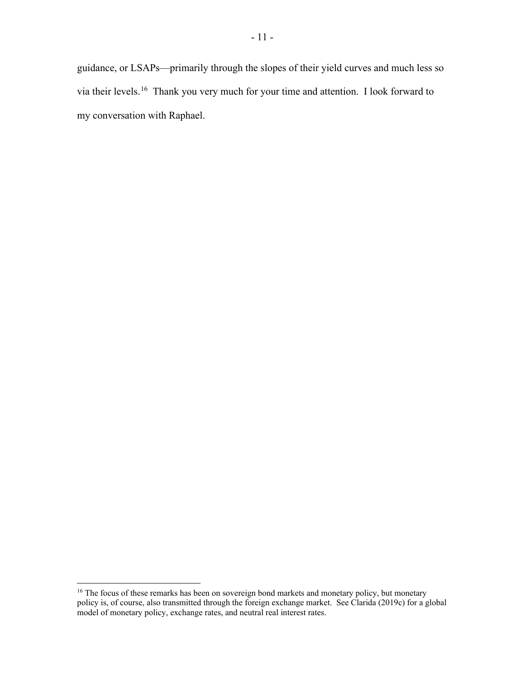guidance, or LSAPs—primarily through the slopes of their yield curves and much less so via their levels.[16](#page-11-0) Thank you very much for your time and attention. I look forward to my conversation with Raphael.

<span id="page-11-0"></span><sup>&</sup>lt;sup>16</sup> The focus of these remarks has been on sovereign bond markets and monetary policy, but monetary policy is, of course, also transmitted through the foreign exchange market. See Clarida (2019c) for a global model of monetary policy, exchange rates, and neutral real interest rates.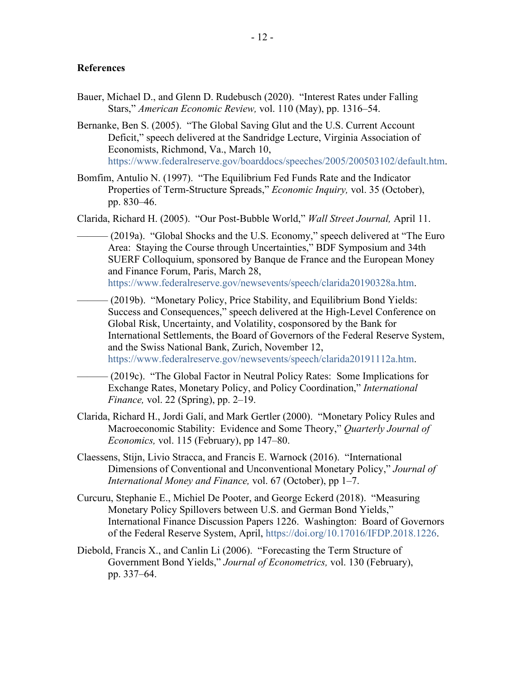# **References**

- Bauer, Michael D., and Glenn D. Rudebusch (2020). "Interest Rates under Falling Stars," *American Economic Review,* vol. 110 (May), pp. 1316–54.
- Bernanke, Ben S. (2005). "The Global Saving Glut and the U.S. Current Account Deficit," speech delivered at the Sandridge Lecture, Virginia Association of Economists, Richmond, Va., March 10, [https://www.federalreserve.gov/boarddocs/speeches/2005/200503102/default.htm.](https://www.federalreserve.gov/boarddocs/speeches/2005/200503102/default.htm)
- Bomfim, Antulio N. (1997). "The Equilibrium Fed Funds Rate and the Indicator Properties of Term-Structure Spreads," *Economic Inquiry,* vol. 35 (October), pp. 830–46.

Clarida, Richard H. (2005). "Our Post-Bubble World," *Wall Street Journal,* April 11.

- (2019a). "Global Shocks and the U.S. Economy," speech delivered at "The Euro" Area: Staying the Course through Uncertainties," BDF Symposium and 34th SUERF Colloquium, sponsored by Banque de France and the European Money and Finance Forum, Paris, March 28, [https://www.federalreserve.gov/newsevents/speech/clarida20190328a.htm.](https://www.federalreserve.gov/newsevents/speech/clarida20190328a.htm)
	- (2019b). "Monetary Policy, Price Stability, and Equilibrium Bond Yields: Success and Consequences," speech delivered at the High-Level Conference on Global Risk, Uncertainty, and Volatility, cosponsored by the Bank for International Settlements, the Board of Governors of the Federal Reserve System, and the Swiss National Bank, Zurich, November 12, [https://www.federalreserve.gov/newsevents/speech/clarida20191112a.htm.](https://www.federalreserve.gov/newsevents/speech/clarida20191112a.htm)
	- (2019c). "The Global Factor in Neutral Policy Rates: Some Implications for Exchange Rates, Monetary Policy, and Policy Coordination," *International Finance,* vol. 22 (Spring), pp. 2–19.
- Clarida, Richard H., Jordi Galí, and Mark Gertler (2000). "Monetary Policy Rules and Macroeconomic Stability: Evidence and Some Theory," *Quarterly Journal of Economics,* vol. 115 (February), pp 147–80.
- Claessens, Stijn, Livio Stracca, and Francis E. Warnock (2016). "International Dimensions of Conventional and Unconventional Monetary Policy," *Journal of International Money and Finance,* vol. 67 (October), pp 1–7.
- Curcuru, Stephanie E., Michiel De Pooter, and George Eckerd (2018). "Measuring Monetary Policy Spillovers between U.S. and German Bond Yields," International Finance Discussion Papers 1226. Washington: Board of Governors of the Federal Reserve System, April, [https://doi.org/10.17016/IFDP.2018.1226.](https://doi.org/10.17016/IFDP.2018.1226)
- Diebold, Francis X., and Canlin Li (2006). "Forecasting the Term Structure of Government Bond Yields," *Journal of Econometrics,* vol. 130 (February), pp. 337–64.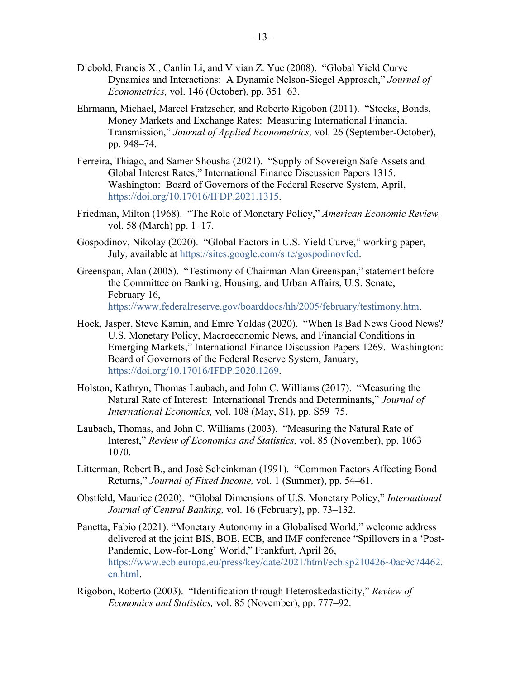- Diebold, Francis X., Canlin Li, and Vivian Z. Yue (2008). "Global Yield Curve Dynamics and Interactions: A Dynamic Nelson-Siegel Approach," *Journal of Econometrics,* vol. 146 (October), pp. 351–63.
- Ehrmann, Michael, Marcel Fratzscher, and Roberto Rigobon (2011). "Stocks, Bonds, Money Markets and Exchange Rates: Measuring International Financial Transmission," *Journal of Applied Econometrics,* vol. 26 (September-October), pp. 948–74.
- Ferreira, Thiago, and Samer Shousha (2021). "Supply of Sovereign Safe Assets and Global Interest Rates," International Finance Discussion Papers 1315. Washington: Board of Governors of the Federal Reserve System, April, [https://doi.org/10.17016/IFDP.2021.1315.](https://doi.org/10.17016/IFDP.2021.1315)
- Friedman, Milton (1968). "The Role of Monetary Policy," *American Economic Review,* vol. 58 (March) pp. 1–17.
- Gospodinov, Nikolay (2020). "Global Factors in U.S. Yield Curve," working paper, July, available at [https://sites.google.com/site/gospodinovfed.](https://sites.google.com/site/gospodinovfed)
- Greenspan, Alan (2005). "Testimony of Chairman Alan Greenspan," statement before the Committee on Banking, Housing, and Urban Affairs, U.S. Senate, February 16, [https://www.federalreserve.gov/boarddocs/hh/2005/february/testimony.htm.](https://www.federalreserve.gov/boarddocs/hh/2005/february/testimony.htm)
- Hoek, Jasper, Steve Kamin, and Emre Yoldas (2020). ["When Is Bad News Good News?](https://www.federalreserve.gov/econres/ifdp/files/ifdp1269.pdf)  [U.S. Monetary Policy, Macroeconomic News, and Financial Conditions in](https://www.federalreserve.gov/econres/ifdp/files/ifdp1269.pdf)  [Emerging Markets,](https://www.federalreserve.gov/econres/ifdp/files/ifdp1269.pdf)" International Finance Discussion Papers 1269. Washington: Board of Governors of the Federal Reserve System, January, [https://doi.org/10.17016/IFDP.2020.1269.](https://doi.org/10.17016/IFDP.2020.1269)
- Holston, Kathryn, Thomas Laubach, and John C. Williams (2017). "Measuring the Natural Rate of Interest: International Trends and Determinants," *Journal of International Economics,* vol. 108 (May, S1), pp. S59–75.
- Laubach, Thomas, and John C. Williams (2003). "Measuring the Natural Rate of Interest," *Review of Economics and Statistics,* vol. 85 (November), pp. 1063– 1070.
- Litterman, Robert B., and Josè Scheinkman (1991). "Common Factors Affecting Bond Returns," *Journal of Fixed Income,* vol. 1 (Summer), pp. 54–61.
- Obstfeld, Maurice (2020). "Global Dimensions of U.S. Monetary Policy," *International Journal of Central Banking,* vol. 16 (February), pp. 73–132.
- Panetta, Fabio (2021). "Monetary Autonomy in a Globalised World," welcome address delivered at the joint BIS, BOE, ECB, and IMF conference "Spillovers in a 'Post-Pandemic, Low-for-Long' World," Frankfurt, April 26, [https://www.ecb.europa.eu/press/key/date/2021/html/ecb.sp210426~0ac9c74462.](https://www.ecb.europa.eu/press/key/date/2021/html/ecb.sp210426%7E0ac9c74462.en.html) [en.html.](https://www.ecb.europa.eu/press/key/date/2021/html/ecb.sp210426%7E0ac9c74462.en.html)
- Rigobon, Roberto (2003). "Identification through Heteroskedasticity," *Review of Economics and Statistics,* vol. 85 (November), pp. 777–92.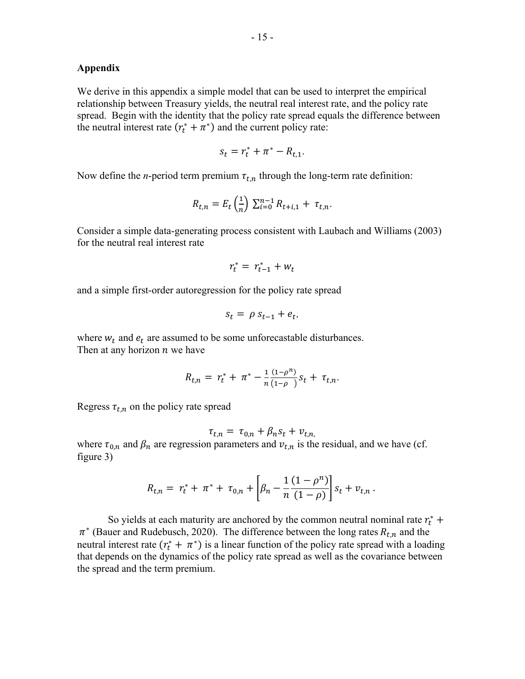## **Appendix**

We derive in this appendix a simple model that can be used to interpret the empirical relationship between Treasury yields, the neutral real interest rate, and the policy rate spread. Begin with the identity that the policy rate spread equals the difference between the neutral interest rate  $(r_t^* + \pi^*)$  and the current policy rate:

$$
s_t = r_t^* + \pi^* - R_{t,1}.
$$

Now define the *n*-period term premium  $\tau_{t,n}$  through the long-term rate definition:

$$
R_{t,n} = E_t \left(\frac{1}{n}\right) \sum_{i=0}^{n-1} R_{t+i,1} + \tau_{t,n}.
$$

Consider a simple data-generating process consistent with Laubach and Williams (2003) for the neutral real interest rate

$$
r_t^* = r_{t-1}^* + w_t
$$

and a simple first-order autoregression for the policy rate spread

$$
s_t = \rho s_{t-1} + e_t,
$$

where  $w_t$  and  $e_t$  are assumed to be some unforecastable disturbances. Then at any horizon  $n$  we have

$$
R_{t,n} = r_t^* + \pi^* - \frac{1}{n} \frac{(1-\rho^n)}{(1-\rho)} s_t + \tau_{t,n}.
$$

Regress  $\tau_{t,n}$  on the policy rate spread

$$
\tau_{t,n} = \tau_{0,n} + \beta_n s_t + v_{t,n}
$$

where  $\tau_{0,n}$  and  $\beta_n$  are regression parameters and  $v_{t,n}$  is the residual, and we have (cf. figure 3)

$$
R_{t,n} = r_t^* + \pi^* + \tau_{0,n} + \left[\beta_n - \frac{1}{n} \frac{(1-\rho^n)}{(1-\rho)}\right] s_t + v_{t,n}.
$$

So yields at each maturity are anchored by the common neutral nominal rate  $r_t^*$  +  $\pi^*$  (Bauer and Rudebusch, 2020). The difference between the long rates  $R_{t,n}$  and the neutral interest rate  $(r_t^* + \pi^*)$  is a linear function of the policy rate spread with a loading that depends on the dynamics of the policy rate spread as well as the covariance between the spread and the term premium.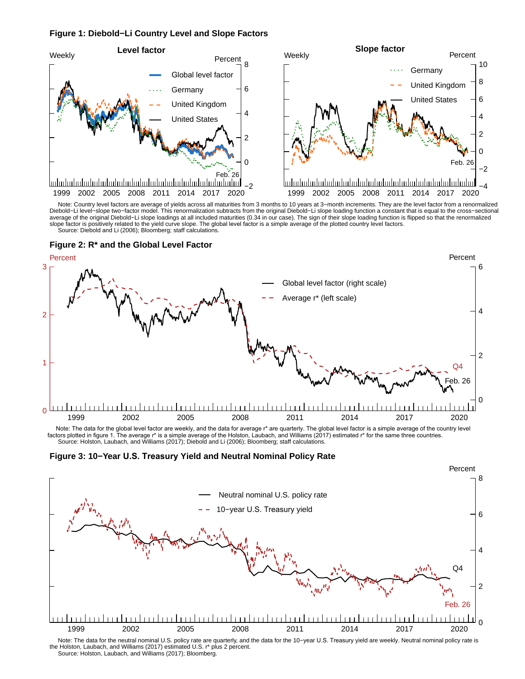#### **Figure 1: Diebold−Li Country Level and Slope Factors**



 Source: Diebold and Li (2006); Bloomberg; staff calculations. Note: Country level factors are average of yields across all maturities from 3 months to 10 years at 3-month increments. They are the level factor from a renormalized<br>Diebold-Li level-slope two-factor model. This renormali average of the original Diebold−Li slope loadings at all included maturities (0.34 in our case). The sign of their slope loading function is flipped so that the renormalized slope factor is positively related to the yield curve slope. The global level factor is a simple average of the plotted country level factors.





 Source: Holston, Laubach, and Williams (2017); Diebold and Li (2006); Bloomberg; staff calculations. Note: The data for the global level factor are weekly, and the data for average r\* are quarterly. The global level factor is a simple average of the country level<br>factors plotted in figure 1. The average r\* is a simple ave





 Note: The data for the neutral nominal U.S. policy rate are quarterly, and the data for the 10−year U.S. Treasury yield are weekly. Neutral nominal policy rate is the Holston, Laubach, and Williams (2017) estimated U.S. r\* plus 2 percent. Source: Holston, Laubach, and Williams (2017); Bloomberg.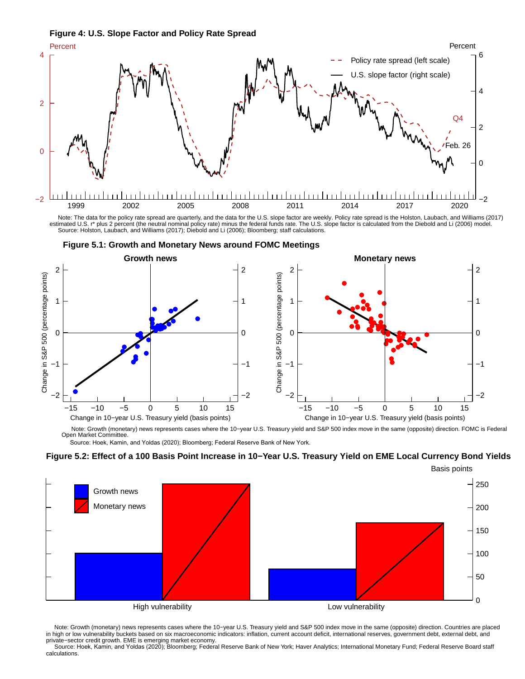



 Note: The data for the policy rate spread are quarterly, and the data for the U.S. slope factor are weekly. Policy rate spread is the Holston, Laubach, and Williams (2017) estimated U.S. r\* plus 2 percent (the neutral nominal policy rate) minus the federal funds rate. The U.S. slope factor is calculated from the Diebold and Li (2006) model. Source: Holston, Laubach, and Williams (2017); Diebold and Li (2006); Bloomberg; staff calculations.



**Figure 5.1: Growth and Monetary News around FOMC Meetings**

Note: Growth (monetary) news represents cases where the 10-year U.S. Treasury yield and S&P 500 index move in the same (opposite) direction. FOMC is Federal Open Market Committee.

Source: Hoek, Kamin, and Yoldas (2020); Bloomberg; Federal Reserve Bank of New York.

### **Figure 5.2: Effect of a 100 Basis Point Increase in 10−Year U.S. Treasury Yield on EME Local Currency Bond Yields**



Note: Growth (monetary) news represents cases where the 10-year U.S. Treasury yield and S&P 500 index move in the same (opposite) direction. Countries are placed in high or low vulnerability buckets based on six macroeconomic indicators: inflation, current account deficit, international reserves, government debt, external debt, and private−sector credit growth. EME is emerging market economy.

 Source: Hoek, Kamin, and Yoldas (2020); Bloomberg; Federal Reserve Bank of New York; Haver Analytics; International Monetary Fund; Federal Reserve Board staff calculations.